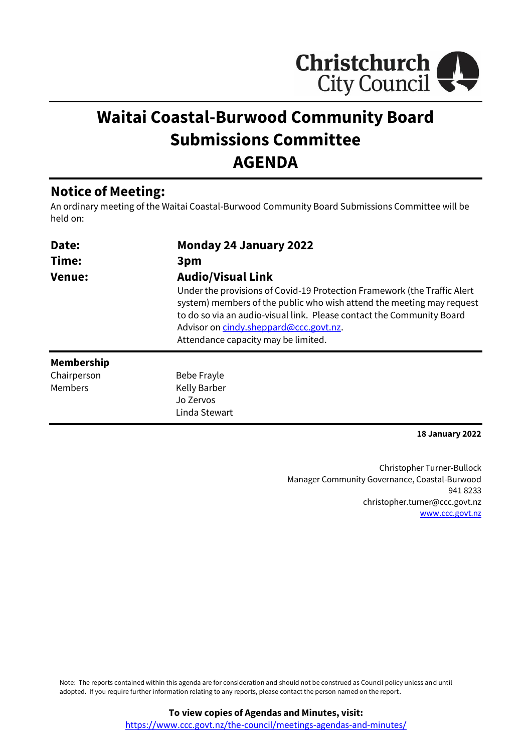

# **Waitai Coastal-Burwood Community Board Submissions Committee AGENDA**

## **Notice of Meeting:**

An ordinary meeting of the Waitai Coastal-Burwood Community Board Submissions Committee will be held on:

| Date:             | <b>Monday 24 January 2022</b>                                                                                                                                                                                                                                                                                                           |  |  |
|-------------------|-----------------------------------------------------------------------------------------------------------------------------------------------------------------------------------------------------------------------------------------------------------------------------------------------------------------------------------------|--|--|
| Time:             | 3pm                                                                                                                                                                                                                                                                                                                                     |  |  |
| <b>Venue:</b>     | <b>Audio/Visual Link</b><br>Under the provisions of Covid-19 Protection Framework (the Traffic Alert<br>system) members of the public who wish attend the meeting may request<br>to do so via an audio-visual link. Please contact the Community Board<br>Advisor on cindy.sheppard@ccc.govt.nz.<br>Attendance capacity may be limited. |  |  |
| <b>Membership</b> |                                                                                                                                                                                                                                                                                                                                         |  |  |
| Chairperson       | Bebe Frayle                                                                                                                                                                                                                                                                                                                             |  |  |
| Members           | Kelly Barber                                                                                                                                                                                                                                                                                                                            |  |  |
|                   | Jo Zervos                                                                                                                                                                                                                                                                                                                               |  |  |
|                   | Linda Stewart                                                                                                                                                                                                                                                                                                                           |  |  |

**18 January 2022**

Christopher Turner-Bullock Manager Community Governance, Coastal-Burwood 941 8233 christopher.turner@ccc.govt.nz [www.ccc.govt.nz](http://www.ccc.govt.nz/)

Note: The reports contained within this agenda are for consideration and should not be construed as Council policy unless and until adopted. If you require further information relating to any reports, please contact the person named on the report.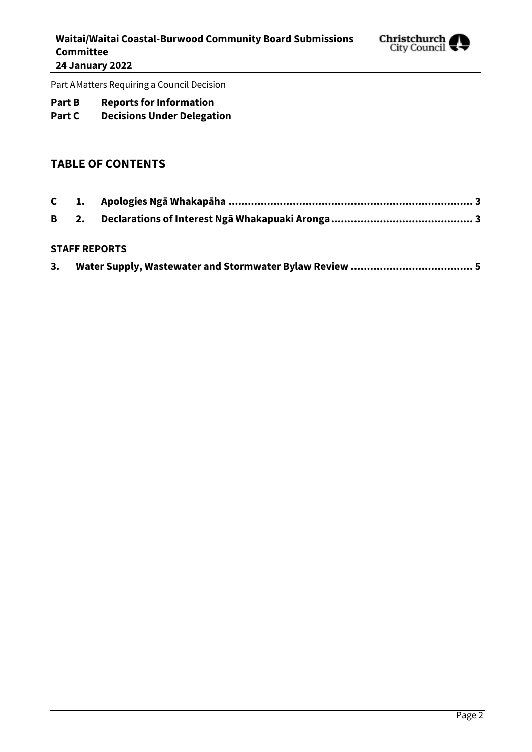

Part AMatters Requiring a Council Decision

### **Part B Reports for Information**

# **Part C Decisions Under Delegation**

#### **TABLE OF CONTENTS**

#### **STAFF REPORTS**

| з. |  |  |  |
|----|--|--|--|
|    |  |  |  |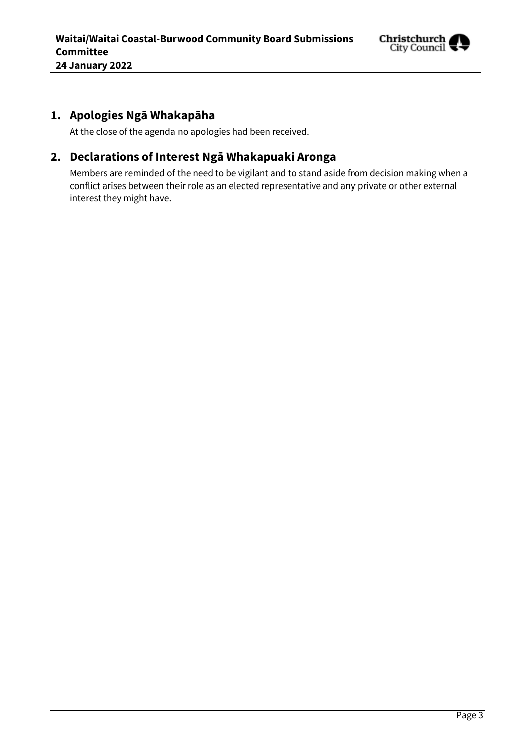

## <span id="page-2-0"></span>**1. Apologies Ngā Whakapāha**

At the close of the agenda no apologies had been received.

### <span id="page-2-1"></span>**2. Declarations of Interest Ngā Whakapuaki Aronga**

Members are reminded of the need to be vigilant and to stand aside from decision making when a conflict arises between their role as an elected representative and any private or other external interest they might have.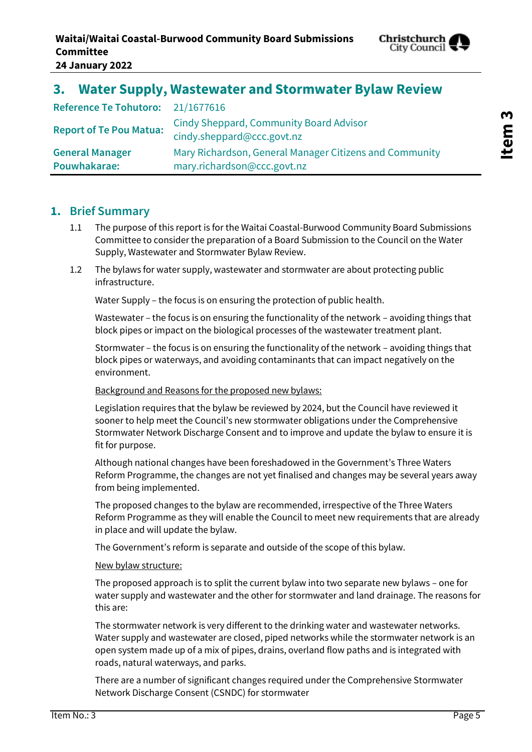

# <span id="page-4-0"></span>**3. Water Supply, Wastewater and Stormwater Bylaw Review**

| Reference Te Tohutoro: 21/1677616 |                                                                              |
|-----------------------------------|------------------------------------------------------------------------------|
| <b>Report of Te Pou Matua:</b>    | <b>Cindy Sheppard, Community Board Advisor</b><br>cindy.sheppard@ccc.govt.nz |
| <b>General Manager</b>            | Mary Richardson, General Manager Citizens and Community                      |
| Pouwhakarae:                      | mary.richardson@ccc.govt.nz                                                  |

#### **1. Brief Summary**

- 1.1 The purpose of this report is for the Waitai Coastal-Burwood Community Board Submissions Committee to consider the preparation of a Board Submission to the Council on the Water Supply, Wastewater and Stormwater Bylaw Review.
- 1.2 The bylaws for water supply, wastewater and stormwater are about protecting public infrastructure.

Water Supply – the focus is on ensuring the protection of public health.

Wastewater – the focus is on ensuring the functionality of the network – avoiding things that block pipes or impact on the biological processes of the wastewater treatment plant.

Stormwater – the focus is on ensuring the functionality of the network – avoiding things that block pipes or waterways, and avoiding contaminants that can impact negatively on the environment.

#### Background and Reasons for the proposed new bylaws:

Legislation requires that the bylaw be reviewed by 2024, but the Council have reviewed it sooner to help meet the Council's new stormwater obligations under the Comprehensive Stormwater Network Discharge Consent and to improve and update the bylaw to ensure it is fit for purpose.

Although national changes have been foreshadowed in the Government's Three Waters Reform Programme, the changes are not yet finalised and changes may be several years away from being implemented.

The proposed changes to the bylaw are recommended, irrespective of the Three Waters Reform Programme as they will enable the Council to meet new requirements that are already in place and will update the bylaw.

The Government's reform is separate and outside of the scope of this bylaw.

#### New bylaw structure:

The proposed approach is to split the current bylaw into two separate new bylaws – one for water supply and wastewater and the other for stormwater and land drainage. The reasons for this are:

The stormwater network is very different to the drinking water and wastewater networks. Water supply and wastewater are closed, piped networks while the stormwater network is an open system made up of a mix of pipes, drains, overland flow paths and is integrated with roads, natural waterways, and parks.

There are a number of significant changes required under the Comprehensive Stormwater Network Discharge Consent (CSNDC) for stormwater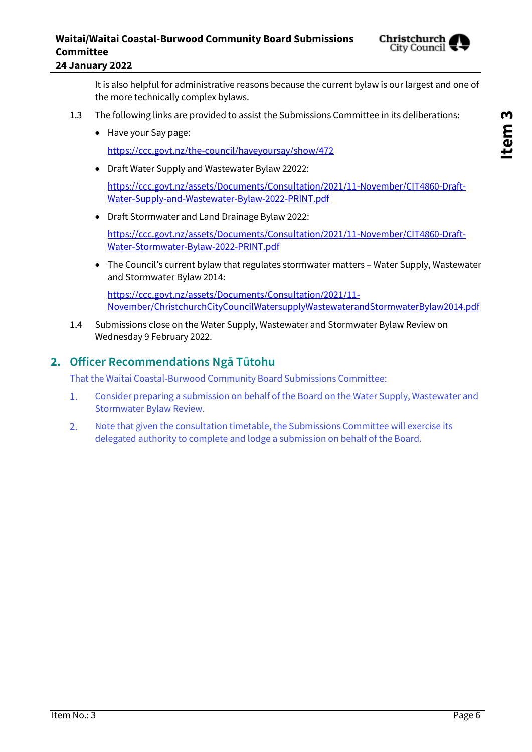# **Waitai/Waitai Coastal-Burwood Community Board Submissions Committee**



**24 January 2022**

It is also helpful for administrative reasons because the current bylaw is our largest and one of the more technically complex bylaws.

- 1.3 The following links are provided to assist the Submissions Committee in its deliberations:
	- Have your Say page:

<https://ccc.govt.nz/the-council/haveyoursay/show/472>

[Water-Supply-and-Wastewater-Bylaw-2022-PRINT.pdf](https://ccc.govt.nz/assets/Documents/Consultation/2021/11-November/CIT4860-Draft-Water-Supply-and-Wastewater-Bylaw-2022-PRINT.pdf)

- Draft Water Supply and Wastewater Bylaw 22022: [https://ccc.govt.nz/assets/Documents/Consultation/2021/11-November/CIT4860-Draft-](https://ccc.govt.nz/assets/Documents/Consultation/2021/11-November/CIT4860-Draft-Water-Supply-and-Wastewater-Bylaw-2022-PRINT.pdf)
- Draft Stormwater and Land Drainage Bylaw 2022:

[https://ccc.govt.nz/assets/Documents/Consultation/2021/11-November/CIT4860-Draft-](https://ccc.govt.nz/assets/Documents/Consultation/2021/11-November/CIT4860-Draft-Water-Stormwater-Bylaw-2022-PRINT.pdf)[Water-Stormwater-Bylaw-2022-PRINT.pdf](https://ccc.govt.nz/assets/Documents/Consultation/2021/11-November/CIT4860-Draft-Water-Stormwater-Bylaw-2022-PRINT.pdf)

 The Council's current bylaw that regulates stormwater matters – Water Supply, Wastewater and Stormwater Bylaw 2014:

[https://ccc.govt.nz/assets/Documents/Consultation/2021/11-](https://ccc.govt.nz/assets/Documents/Consultation/2021/11-November/ChristchurchCityCouncilWatersupplyWastewaterandStormwaterBylaw2014.pdf) [November/ChristchurchCityCouncilWatersupplyWastewaterandStormwaterBylaw2014.pdf](https://ccc.govt.nz/assets/Documents/Consultation/2021/11-November/ChristchurchCityCouncilWatersupplyWastewaterandStormwaterBylaw2014.pdf)

Submissions close on the Water Supply, Wastewater and Stormwater Bylaw Review on  $1.4$ Wednesday 9 February 2022.

#### **2. Officer Recommendations Ngā Tūtohu**

That the Waitai Coastal-Burwood Community Board Submissions Committee:

- $1.$ Consider preparing a submission on behalf of the Board on the Water Supply, Wastewater and Stormwater Bylaw Review.
- $2.$ Note that given the consultation timetable, the Submissions Committee will exercise its delegated authority to complete and lodge a submission on behalf of the Board.